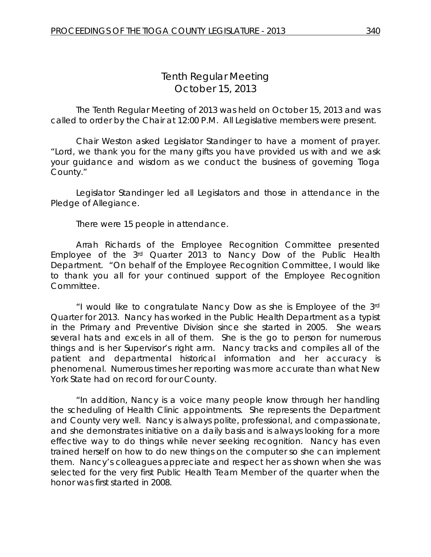# *Tenth Regular Meeting* October 15, 2013

The Tenth Regular Meeting of 2013 was held on October 15, 2013 and was called to order by the Chair at 12:00 P.M. All Legislative members were present.

Chair Weston asked Legislator Standinger to have a moment of prayer. "Lord, we thank you for the many gifts you have provided us with and we ask your guidance and wisdom as we conduct the business of governing Tioga County."

Legislator Standinger led all Legislators and those in attendance in the Pledge of Allegiance.

There were 15 people in attendance.

Arrah Richards of the Employee Recognition Committee presented Employee of the 3rd Quarter 2013 to Nancy Dow of the Public Health Department. "On behalf of the Employee Recognition Committee, I would like to thank you all for your continued support of the Employee Recognition Committee.

"I would like to congratulate Nancy Dow as she is Employee of the 3rd Quarter for 2013. Nancy has worked in the Public Health Department as a typist in the Primary and Preventive Division since she started in 2005. She wears several hats and excels in all of them. She is the go to person for numerous things and is her Supervisor's right arm. Nancy tracks and compiles all of the patient and departmental historical information and her accuracy is phenomenal. Numerous times her reporting was more accurate than what New York State had on record for our County.

"In addition, Nancy is a voice many people know through her handling the scheduling of Health Clinic appointments. She represents the Department and County very well. Nancy is always polite, professional, and compassionate, and she demonstrates initiative on a daily basis and is always looking for a more effective way to do things while never seeking recognition. Nancy has even trained herself on how to do new things on the computer so she can implement them. Nancy's colleagues appreciate and respect her as shown when she was selected for the very first Public Health Team Member of the quarter when the honor was first started in 2008.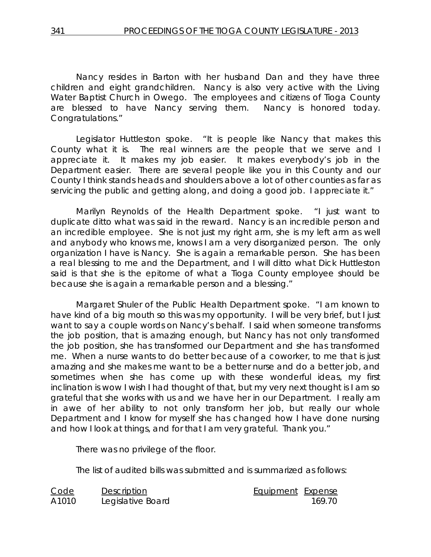Nancy resides in Barton with her husband Dan and they have three children and eight grandchildren. Nancy is also very active with the Living Water Baptist Church in Owego. The employees and citizens of Tioga County are blessed to have Nancy serving them. Nancy is honored today. Congratulations."

Legislator Huttleston spoke. "It is people like Nancy that makes this County what it is. The real winners are the people that we serve and I appreciate it. It makes my job easier. It makes everybody's job in the Department easier. There are several people like you in this County and our County I think stands heads and shoulders above a lot of other counties as far as servicing the public and getting along, and doing a good job. I appreciate it."

Marilyn Reynolds of the Health Department spoke. "I just want to duplicate ditto what was said in the reward. Nancy is an incredible person and an incredible employee. She is not just my right arm, she is my left arm as well and anybody who knows me, knows I am a very disorganized person. The only organization I have is Nancy. She is again a remarkable person. She has been a real blessing to me and the Department, and I will ditto what Dick Huttleston said is that she is the epitome of what a Tioga County employee should be because she is again a remarkable person and a blessing."

Margaret Shuler of the Public Health Department spoke. "I am known to have kind of a big mouth so this was my opportunity. I will be very brief, but I just want to say a couple words on Nancy's behalf. I said when someone transforms the job position, that is amazing enough, but Nancy has not only transformed the job position, she has transformed our Department and she has transformed me. When a nurse wants to do better because of a coworker, to me that is just amazing and she makes me want to be a better nurse and do a better job, and sometimes when she has come up with these wonderful ideas, my first inclination is wow I wish I had thought of that, but my very next thought is I am so grateful that she works with us and we have her in our Department. I really am in awe of her ability to not only transform her job, but really our whole Department and I know for myself she has changed how I have done nursing and how I look at things, and for that I am very grateful. Thank you."

There was no privilege of the floor.

The list of audited bills was submitted and is summarized as follows:

| Code  | <b>Description</b> | Equipment Expense |        |
|-------|--------------------|-------------------|--------|
| A1010 | Legislative Board  |                   | 169 70 |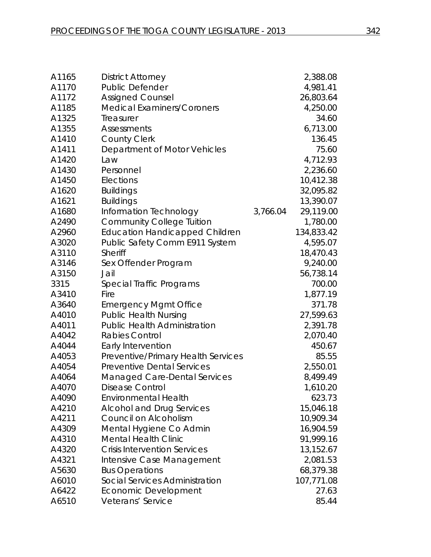| A1165 | <b>District Attorney</b>              |          | 2,388.08   |
|-------|---------------------------------------|----------|------------|
| A1170 | Public Defender                       |          | 4,981.41   |
| A1172 | <b>Assigned Counsel</b>               |          | 26,803.64  |
| A1185 | <b>Medical Examiners/Coroners</b>     |          | 4,250.00   |
| A1325 | Treasurer                             |          | 34.60      |
| A1355 | <b>Assessments</b>                    |          | 6,713.00   |
| A1410 | <b>County Clerk</b>                   |          | 136.45     |
| A1411 | Department of Motor Vehicles          |          | 75.60      |
| A1420 | Law                                   |          | 4,712.93   |
| A1430 | Personnel                             |          | 2,236.60   |
| A1450 | Elections                             |          | 10,412.38  |
| A1620 | <b>Buildings</b>                      |          | 32,095.82  |
| A1621 | <b>Buildings</b>                      |          | 13,390.07  |
| A1680 | Information Technology                | 3,766.04 | 29,119.00  |
| A2490 | <b>Community College Tuition</b>      |          | 1,780.00   |
| A2960 | <b>Education Handicapped Children</b> |          | 134,833.42 |
| A3020 | Public Safety Comm E911 System        |          | 4,595.07   |
| A3110 | <b>Sheriff</b>                        |          | 18,470.43  |
| A3146 | Sex Offender Program                  |          | 9,240.00   |
| A3150 | Jail                                  |          | 56,738.14  |
| 3315  | Special Traffic Programs              |          | 700.00     |
| A3410 | Fire                                  |          | 1,877.19   |
| A3640 | <b>Emergency Mgmt Office</b>          |          | 371.78     |
| A4010 | <b>Public Health Nursing</b>          |          | 27,599.63  |
| A4011 | <b>Public Health Administration</b>   |          | 2,391.78   |
| A4042 | <b>Rabies Control</b>                 |          | 2,070.40   |
| A4044 | Early Intervention                    |          | 450.67     |
| A4053 | Preventive/Primary Health Services    |          | 85.55      |
| A4054 | <b>Preventive Dental Services</b>     |          | 2,550.01   |
| A4064 | <b>Managed Care-Dental Services</b>   |          | 8,499.49   |
| A4070 | Disease Control                       |          | 1,610.20   |
| A4090 | <b>Environmental Health</b>           |          | 623.73     |
| A4210 | <b>Alcohol and Drug Services</b>      |          | 15,046.18  |
| A4211 | Council on Alcoholism                 |          | 10,909.34  |
| A4309 | Mental Hygiene Co Admin               |          | 16,904.59  |
| A4310 | <b>Mental Health Clinic</b>           |          | 91,999.16  |
| A4320 | <b>Crisis Intervention Services</b>   |          | 13,152.67  |
| A4321 | Intensive Case Management             |          | 2,081.53   |
| A5630 | <b>Bus Operations</b>                 |          | 68,379.38  |
| A6010 | Social Services Administration        |          | 107,771.08 |
| A6422 | Economic Development                  |          | 27.63      |
| A6510 | Veterans' Service                     |          | 85.44      |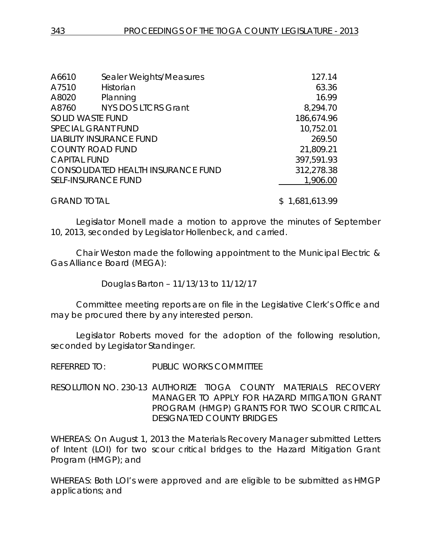| A6610               | Sealer Weights/Measures                   | 127.14     |
|---------------------|-------------------------------------------|------------|
| A7510               | Historian                                 | 63.36      |
| A8020               | Planning                                  | 16.99      |
| A8760               | <b>NYS DOS LTCRS Grant</b>                | 8,294.70   |
|                     | <b>SOLID WASTE FUND</b>                   | 186,674.96 |
|                     | <b>SPECIAL GRANT FUND</b>                 | 10,752.01  |
|                     | <b>LIABILITY INSURANCE FUND</b>           | 269.50     |
|                     | <b>COUNTY ROAD FUND</b>                   | 21,809.21  |
| <b>CAPITAL FUND</b> |                                           | 397,591.93 |
|                     | <b>CONSOLIDATED HEALTH INSURANCE FUND</b> | 312,278.38 |
|                     | <b>SELF-INSURANCE FUND</b>                | 1,906.00   |
|                     |                                           |            |

GRAND TOTAL \$ 1,681,613.99

Legislator Monell made a motion to approve the minutes of September 10, 2013, seconded by Legislator Hollenbeck, and carried.

Chair Weston made the following appointment to the Municipal Electric & Gas Alliance Board (MEGA):

Douglas Barton – 11/13/13 to 11/12/17

Committee meeting reports are on file in the Legislative Clerk's Office and may be procured there by any interested person.

Legislator Roberts moved for the adoption of the following resolution, seconded by Legislator Standinger.

REFERRED TO: PUBLIC WORKS COMMITTEE

RESOLUTION NO. 230-13 *AUTHORIZE TIOGA COUNTY MATERIALS RECOVERY MANAGER TO APPLY FOR HAZARD MITIGATION GRANT PROGRAM (HMGP) GRANTS FOR TWO SCOUR CRITICAL DESIGNATED COUNTY BRIDGES*

WHEREAS: On August 1, 2013 the Materials Recovery Manager submitted Letters of Intent (LOI) for two scour critical bridges to the Hazard Mitigation Grant Program (HMGP); and

WHEREAS: Both LOI's were approved and are eligible to be submitted as HMGP applications; and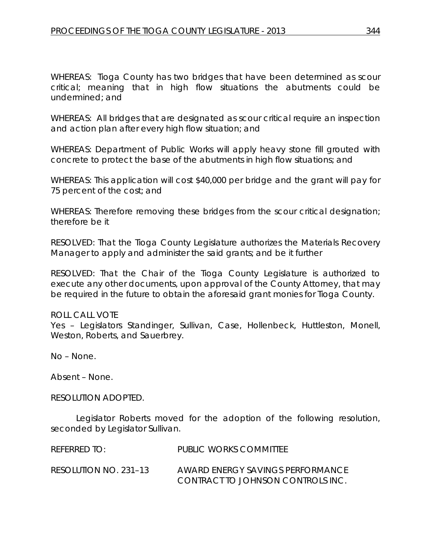WHEREAS: Tioga County has two bridges that have been determined as scour critical; meaning that in high flow situations the abutments could be undermined; and

WHEREAS: All bridges that are designated as scour critical require an inspection and action plan after every high flow situation; and

WHEREAS: Department of Public Works will apply heavy stone fill grouted with concrete to protect the base of the abutments in high flow situations; and

WHEREAS: This application will cost \$40,000 per bridge and the grant will pay for 75 percent of the cost; and

WHEREAS: Therefore removing these bridges from the scour critical designation; therefore be it

RESOLVED: That the Tioga County Legislature authorizes the Materials Recovery Manager to apply and administer the said grants; and be it further

RESOLVED: That the Chair of the Tioga County Legislature is authorized to execute any other documents, upon approval of the County Attorney, that may be required in the future to obtain the aforesaid grant monies for Tioga County.

ROLL CALL VOTE Yes - Legislators Standinger, Sullivan, Case, Hollenbeck, Huttleston, Monell, Weston, Roberts, and Sauerbrey.

No – None.

Absent – None.

RESOLUTION ADOPTED.

Legislator Roberts moved for the adoption of the following resolution, seconded by Legislator Sullivan.

| REFERRED TO:          | PUBLIC WORKS COMMITTEE                                                |
|-----------------------|-----------------------------------------------------------------------|
| RESOLUTION NO. 231–13 | AWARD ENERGY SAVINGS PERFORMANCE<br>CONTRACT TO JOHNSON CONTROLS INC. |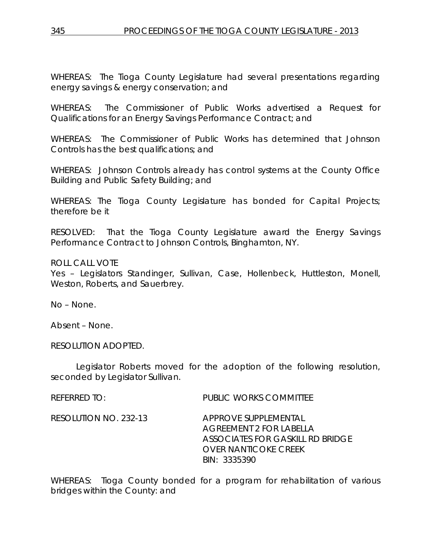WHEREAS: The Tioga County Legislature had several presentations regarding energy savings & energy conservation; and

WHEREAS: The Commissioner of Public Works advertised a Request for Qualifications for an Energy Savings Performance Contract; and

WHEREAS: The Commissioner of Public Works has determined that Johnson Controls has the best qualifications; and

WHEREAS: Johnson Controls already has control systems at the County Office Building and Public Safety Building; and

WHEREAS: The Tioga County Legislature has bonded for Capital Projects; therefore be it

RESOLVED: That the Tioga County Legislature award the Energy Savings Performance Contract to Johnson Controls, Binghamton, NY.

# ROLL CALL VOTE

Yes – Legislators Standinger, Sullivan, Case, Hollenbeck, Huttleston, Monell, Weston, Roberts, and Sauerbrey.

No – None.

Absent – None.

RESOLUTION ADOPTED.

Legislator Roberts moved for the adoption of the following resolution, seconded by Legislator Sullivan.

REFERRED TO: PUBLIC WORKS COMMITTEE

RESOLUTION NO. 232-13 *APPROVE SUPPLEMENTAL AGREEMENT 2 FOR LABELLA ASSOCIATES FOR GASKILL RD BRIDGE OVER NANTICOKE CREEK BIN: 3335390*

WHEREAS: Tioga County bonded for a program for rehabilitation of various bridges within the County: and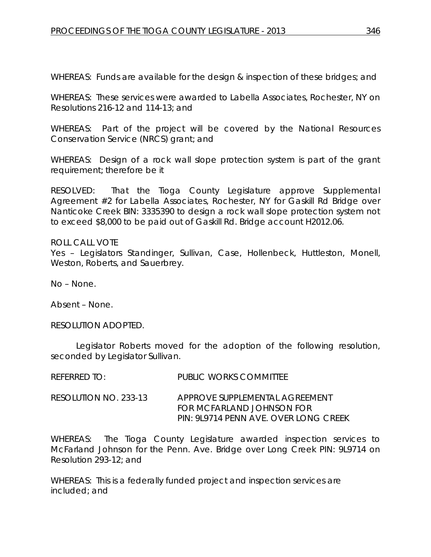WHEREAS: Funds are available for the design & inspection of these bridges; and

WHEREAS: These services were awarded to Labella Associates, Rochester, NY on Resolutions 216-12 and 114-13; and

WHEREAS: Part of the project will be covered by the National Resources Conservation Service (NRCS) grant; and

WHEREAS: Design of a rock wall slope protection system is part of the grant requirement; therefore be it

RESOLVED: That the Tioga County Legislature approve Supplemental Agreement #2 for Labella Associates, Rochester, NY for Gaskill Rd Bridge over Nanticoke Creek BIN: 3335390 to design a rock wall slope protection system not to exceed \$8,000 to be paid out of Gaskill Rd. Bridge account H2012.06.

#### ROLL CALL VOTE

Yes – Legislators Standinger, Sullivan, Case, Hollenbeck, Huttleston, Monell, Weston, Roberts, and Sauerbrey.

No – None.

Absent – None.

RESOLUTION ADOPTED.

Legislator Roberts moved for the adoption of the following resolution, seconded by Legislator Sullivan.

| REFERRED TO:          | PUBLIC WORKS COMMITTEE                                                                                |
|-----------------------|-------------------------------------------------------------------------------------------------------|
| RESOLUTION NO. 233-13 | APPROVE SUPPLEMENTAL AGREEMENT<br>FOR MCFARI AND JOHNSON FOR<br>PIN: 9L9714 PENN AVE. OVER LONG CREEK |

WHEREAS: The Tioga County Legislature awarded inspection services to McFarland Johnson for the Penn. Ave. Bridge over Long Creek PIN: 9L9714 on Resolution 293-12; and

WHEREAS: This is a federally funded project and inspection services are included; and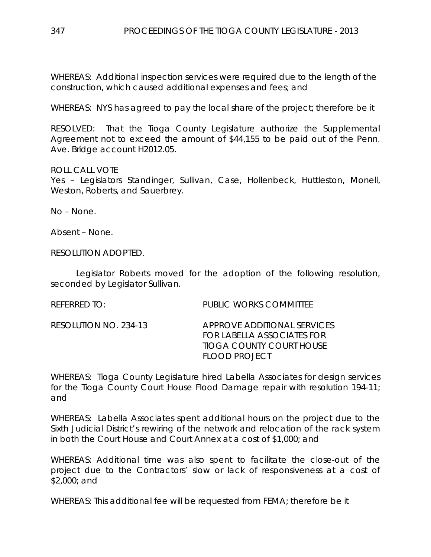WHEREAS: Additional inspection services were required due to the length of the construction, which caused additional expenses and fees; and

WHEREAS: NYS has agreed to pay the local share of the project; therefore be it

RESOLVED: That the Tioga County Legislature authorize the Supplemental Agreement not to exceed the amount of \$44,155 to be paid out of the Penn. Ave. Bridge account H2012.05.

ROLL CALL VOTE

Yes – Legislators Standinger, Sullivan, Case, Hollenbeck, Huttleston, Monell, Weston, Roberts, and Sauerbrey.

No – None.

Absent – None.

RESOLUTION ADOPTED.

Legislator Roberts moved for the adoption of the following resolution, seconded by Legislator Sullivan.

REFERRED TO: PUBLIC WORKS COMMITTEE

RESOLUTION NO. 234-13 *APPROVE ADDITIONAL SERVICES FOR LABELLA ASSOCIATES FOR TIOGA COUNTY COURT HOUSE FLOOD PROJECT*

WHEREAS: Tioga County Legislature hired Labella Associates for design services for the Tioga County Court House Flood Damage repair with resolution 194-11; and

WHEREAS: Labella Associates spent additional hours on the project due to the Sixth Judicial District's rewiring of the network and relocation of the rack system in both the Court House and Court Annex at a cost of \$1,000; and

WHEREAS: Additional time was also spent to facilitate the close-out of the project due to the Contractors' slow or lack of responsiveness at a cost of \$2,000; and

WHEREAS: This additional fee will be requested from FEMA; therefore be it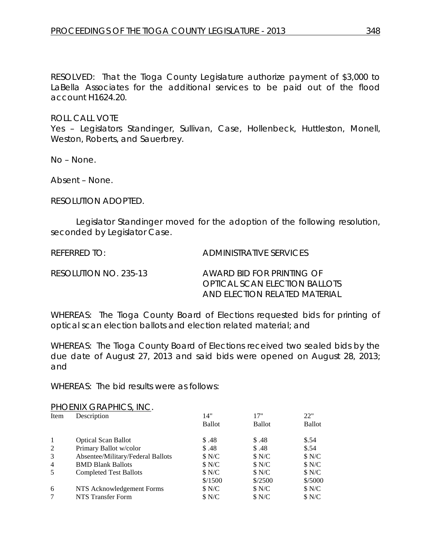RESOLVED: That the Tioga County Legislature authorize payment of \$3,000 to LaBella Associates for the additional services to be paid out of the flood account H1624.20.

ROLL CALL VOTE

Yes – Legislators Standinger, Sullivan, Case, Hollenbeck, Huttleston, Monell, Weston, Roberts, and Sauerbrey.

No – None.

Absent – None.

RESOLUTION ADOPTED.

Legislator Standinger moved for the adoption of the following resolution, seconded by Legislator Case.

REFERRED TO: ADMINISTRATIVE SERVICES

RESOLUTION NO. 235-13 *AWARD BID FOR PRINTING OF OPTICAL SCAN ELECTION BALLOTS AND ELECTION RELATED MATERIAL*

WHEREAS: The Tioga County Board of Elections requested bids for printing of optical scan election ballots and election related material; and

WHEREAS: The Tioga County Board of Elections received two sealed bids by the due date of August 27, 2013 and said bids were opened on August 28, 2013; and

WHEREAS: The bid results were as follows:

PHOENIX GRAPHICS, INC.

| Item           | Description                       | 14"           | 17"           | 22"           |
|----------------|-----------------------------------|---------------|---------------|---------------|
|                |                                   | <b>Ballot</b> | <b>Ballot</b> | <b>Ballot</b> |
|                | <b>Optical Scan Ballot</b>        | \$.48         | \$.48         | \$.54         |
| 2              | Primary Ballot w/color            | \$.48         | \$.48         | \$.54         |
| 3              | Absentee/Military/Federal Ballots | \$N/C         | \$N/C         | \$ N/C        |
| $\overline{4}$ | <b>BMD Blank Ballots</b>          | \$N/C         | \$N/C         | \$N/C         |
| 5              | <b>Completed Test Ballots</b>     | \$N/C         | \$N/C         | \$ N/C        |
|                |                                   | \$/1500       | \$/2500       | \$/5000       |
| 6              | NTS Acknowledgement Forms         | \$N/C         | \$N/C         | \$N/C         |
|                | <b>NTS Transfer Form</b>          | \$N/C         | \$N/C         | \$N/C         |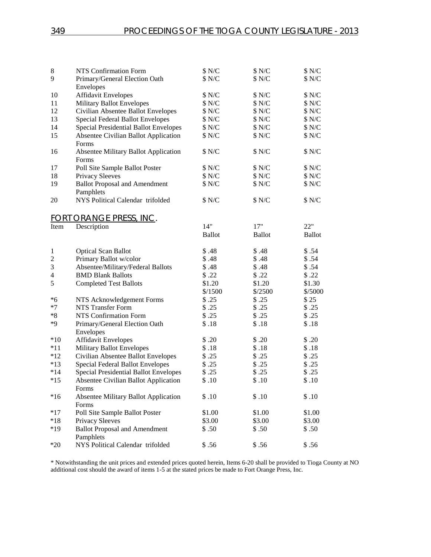| $\,8\,$                 | NTS Confirmation Form                                | \$N/C         | \$N/C         | \$N/C         |
|-------------------------|------------------------------------------------------|---------------|---------------|---------------|
| 9                       | Primary/General Election Oath                        | \$N/C         | \$N/C         | \$ N/C        |
|                         | Envelopes                                            |               |               |               |
| 10                      | <b>Affidavit Envelopes</b>                           | \$ N/C        | \$ N/C        | \$ N/C        |
| 11                      | <b>Military Ballot Envelopes</b>                     | \$ N/C        | \$ N/C        | \$ N/C        |
| 12                      | Civilian Absentee Ballot Envelopes                   | \$ N/C        | \$ N/C        | \$ N/C        |
| 13                      | Special Federal Ballot Envelopes                     | \$ N/C        | \$ N/C        | \$N/C         |
| 14                      | Special Presidential Ballot Envelopes                | \$ N/C        | \$ N/C        | \$ N/C        |
| 15                      | <b>Absentee Civilian Ballot Application</b><br>Forms | \$N/C         | \$N/C         | \$N/C         |
| 16                      | <b>Absentee Military Ballot Application</b><br>Forms | \$ N/C        | \$ N/C        | \$ N/C        |
| 17                      | Poll Site Sample Ballot Poster                       | \$N/C         | $N/C$         | \$ N/C        |
| 18                      | Privacy Sleeves                                      | \$ N/C        | \$ N/C        | \$ N/C        |
| 19                      | <b>Ballot Proposal and Amendment</b><br>Pamphlets    | \$N/C         | \$ N/C        | \$ N/C        |
| 20                      | NYS Political Calendar trifolded                     | \$ N/C        | \$ N/C        | \$ N/C        |
|                         | FORT ORANGE PRESS, INC.                              |               |               |               |
| Item                    | Description                                          | 14"           | 17"           | 22"           |
|                         |                                                      | <b>Ballot</b> | <b>Ballot</b> | <b>Ballot</b> |
| $\mathbf{1}$            | <b>Optical Scan Ballot</b>                           | \$.48         | \$.48         | \$.54         |
| $\overline{c}$          | Primary Ballot w/color                               | \$.48         | \$.48         | \$.54         |
| $\mathfrak{Z}$          | Absentee/Military/Federal Ballots                    | \$.48         | \$.48         | \$.54         |
| $\overline{\mathbf{4}}$ | <b>BMD Blank Ballots</b>                             | \$.22         | \$.22         | \$.22         |
| 5                       | <b>Completed Test Ballots</b>                        | \$1.20        | \$1.20        | \$1.30        |
|                         |                                                      | \$/1500       | \$/2500       | \$/5000       |
| $*6$                    | NTS Acknowledgement Forms                            | \$.25         | \$.25         | \$25          |
| $*7$                    | NTS Transfer Form                                    | \$.25         | \$.25         | \$.25         |
| $\ ^{\ast 8}$           | NTS Confirmation Form                                | \$.25         | \$.25         | \$.25         |
| *9                      | Primary/General Election Oath<br>Envelopes           | \$.18         | \$.18         | \$.18         |
| $*10$                   | <b>Affidavit Envelopes</b>                           | \$.20         | \$.20         | \$.20         |
| $*11$                   | <b>Military Ballot Envelopes</b>                     | \$.18         | \$.18         | \$.18         |
| $*12$                   | Civilian Absentee Ballot Envelopes                   | \$.25         | \$.25         | \$.25         |
| $*13$                   | Special Federal Ballot Envelopes                     | \$.25         | \$.25         | \$.25         |
| $*14$                   | Special Presidential Ballot Envelopes                | \$.25         | \$.25         | \$.25         |
| $*15$                   | <b>Absentee Civilian Ballot Application</b><br>Forms | \$.10         | \$.10         | \$.10         |
| $*16$                   | <b>Absentee Military Ballot Application</b><br>Forms | \$.10         | \$.10         | \$.10         |
| $*17$                   | Poll Site Sample Ballot Poster                       | \$1.00        | \$1.00        | \$1.00        |
| $^*18$                  | Privacy Sleeves                                      | \$3.00        | \$3.00        | \$3.00        |
| $*19$                   | <b>Ballot Proposal and Amendment</b><br>Pamphlets    | \$.50         | \$.50         | \$.50         |
| $*20$                   | NYS Political Calendar trifolded                     | \$.56         | \$.56         | \$.56         |
|                         |                                                      |               |               |               |

\* Notwithstanding the unit prices and extended prices quoted herein, Items 6-20 shall be provided to Tioga County at NO additional cost should the award of items 1-5 at the stated prices be made to Fort Orange Press, Inc.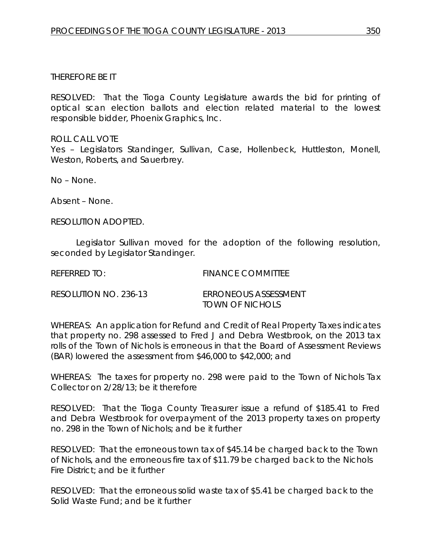# THEREFORE BE IT

RESOLVED: That the Tioga County Legislature awards the bid for printing of optical scan election ballots and election related material to the lowest responsible bidder, Phoenix Graphics, Inc.

ROLL CALL VOTE Yes – Legislators Standinger, Sullivan, Case, Hollenbeck, Huttleston, Monell, Weston, Roberts, and Sauerbrey.

No – None.

Absent – None.

RESOLUTION ADOPTED.

Legislator Sullivan moved for the adoption of the following resolution, seconded by Legislator Standinger.

REFERRED TO: FINANCE COMMITTEE

RESOLUTION NO. 236-13 *ERRONEOUS ASSESSMENT TOWN OF NICHOLS*

WHEREAS: An application for Refund and Credit of Real Property Taxes indicates that property no. 298 assessed to Fred J and Debra Westbrook, on the 2013 tax rolls of the Town of Nichols is erroneous in that the Board of Assessment Reviews (BAR) lowered the assessment from \$46,000 to \$42,000; and

WHEREAS: The taxes for property no. 298 were paid to the Town of Nichols Tax Collector on 2/28/13; be it therefore

RESOLVED: That the Tioga County Treasurer issue a refund of \$185.41 to Fred and Debra Westbrook for overpayment of the 2013 property taxes on property no. 298 in the Town of Nichols; and be it further

RESOLVED: That the erroneous town tax of \$45.14 be charged back to the Town of Nichols, and the erroneous fire tax of \$11.79 be charged back to the Nichols Fire District; and be it further

RESOLVED: That the erroneous solid waste tax of \$5.41 be charged back to the Solid Waste Fund; and be it further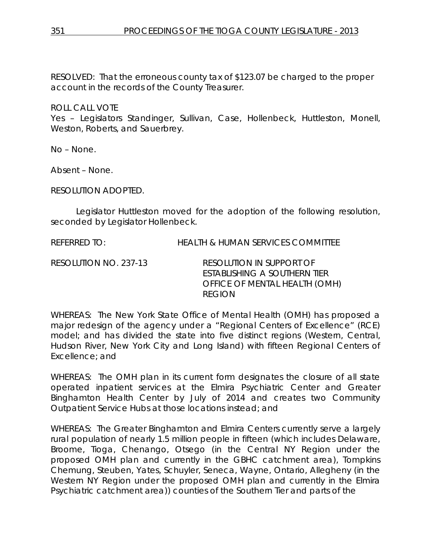RESOLVED: That the erroneous county tax of \$123.07 be charged to the proper account in the records of the County Treasurer.

ROLL CALL VOTE

Yes – Legislators Standinger, Sullivan, Case, Hollenbeck, Huttleston, Monell, Weston, Roberts, and Sauerbrey.

No – None.

Absent – None.

RESOLUTION ADOPTED.

Legislator Huttleston moved for the adoption of the following resolution, seconded by Legislator Hollenbeck.

REFERRED TO: HEALTH & HUMAN SERVICES COMMITTEE

RESOLUTION NO. 237-13 *RESOLUTION IN SUPPORT OF ESTABLISHING A SOUTHERN TIER OFFICE OF MENTAL HEALTH (OMH) REGION*

WHEREAS: The New York State Office of Mental Health (OMH) has proposed a major redesign of the agency under a "Regional Centers of Excellence" (RCE) model; and has divided the state into five distinct regions (Western, Central, Hudson River, New York City and Long Island) with fifteen Regional Centers of Excellence; and

WHEREAS: The OMH plan in its current form designates the closure of all state operated inpatient services at the Elmira Psychiatric Center and Greater Binghamton Health Center by July of 2014 and creates two Community Outpatient Service Hubs at those locations instead; and

WHEREAS: The Greater Binghamton and Elmira Centers currently serve a largely rural population of nearly 1.5 million people in fifteen (which includes Delaware, Broome, Tioga, Chenango, Otsego (in the Central NY Region under the proposed OMH plan and currently in the GBHC catchment area), Tompkins Chemung, Steuben, Yates, Schuyler, Seneca, Wayne, Ontario, Allegheny (in the Western NY Region under the proposed OMH plan and currently in the Elmira Psychiatric catchment area)) counties of the Southern Tier and parts of the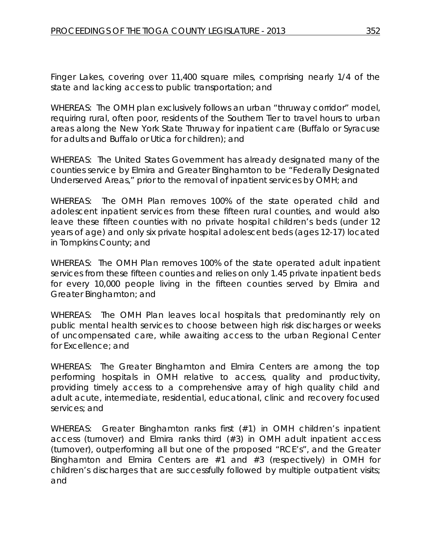Finger Lakes, covering over 11,400 square miles, comprising nearly 1/4 of the state and lacking access to public transportation; and

WHEREAS: The OMH plan exclusively follows an urban "thruway corridor" model, requiring rural, often poor, residents of the Southern Tier to travel hours to urban areas along the New York State Thruway for inpatient care (Buffalo or Syracuse for adults and Buffalo or Utica for children); and

WHEREAS: The United States Government has already designated many of the counties service by Elmira and Greater Binghamton to be "Federally Designated Underserved Areas," prior to the removal of inpatient services by OMH; and

WHEREAS: The OMH Plan removes 100% of the state operated child and adolescent inpatient services from these fifteen rural counties, and would also leave these fifteen counties with no private hospital children's beds (under 12 years of age) and only six private hospital adolescent beds (ages 12-17) located in Tompkins County; and

WHEREAS: The OMH Plan removes 100% of the state operated adult inpatient services from these fifteen counties and relies on only 1.45 private inpatient beds for every 10,000 people living in the fifteen counties served by Elmira and Greater Binghamton; and

WHEREAS: The OMH Plan leaves local hospitals that predominantly rely on public mental health services to choose between high risk discharges or weeks of uncompensated care, while awaiting access to the urban Regional Center for Excellence; and

WHEREAS: The Greater Binghamton and Elmira Centers are among the top performing hospitals in OMH relative to access, quality and productivity, providing timely access to a comprehensive array of high quality child and adult acute, intermediate, residential, educational, clinic and recovery focused services; and

WHEREAS: Greater Binghamton ranks first (#1) in OMH children's inpatient access (turnover) and Elmira ranks third (#3) in OMH adult inpatient access (turnover), outperforming all but one of the proposed "RCE's", and the Greater Binghamton and Elmira Centers are #1 and #3 (respectively) in OMH for children's discharges that are successfully followed by multiple outpatient visits; and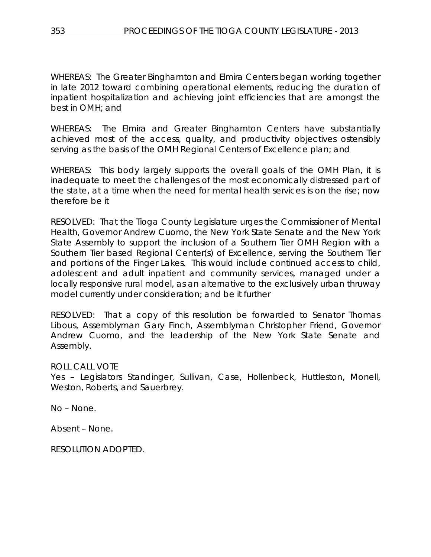WHEREAS: The Greater Binghamton and Elmira Centers began working together in late 2012 toward combining operational elements, reducing the duration of inpatient hospitalization and achieving joint efficiencies that are amongst the best in OMH; and

WHEREAS: The Elmira and Greater Binghamton Centers have substantially achieved most of the access, quality, and productivity objectives ostensibly serving as the basis of the OMH Regional Centers of Excellence plan; and

WHEREAS: This body largely supports the overall goals of the OMH Plan, it is inadequate to meet the challenges of the most economically distressed part of the state, at a time when the need for mental health services is on the rise; now therefore be it

RESOLVED: That the Tioga County Legislature urges the Commissioner of Mental Health, Governor Andrew Cuomo, the New York State Senate and the New York State Assembly to support the inclusion of a Southern Tier OMH Region with a Southern Tier based Regional Center(s) of Excellence, serving the Southern Tier and portions of the Finger Lakes. This would include continued access to child, adolescent and adult inpatient and community services, managed under a locally responsive rural model, as an alternative to the exclusively urban thruway model currently under consideration; and be it further

RESOLVED: That a copy of this resolution be forwarded to Senator Thomas Libous, Assemblyman Gary Finch, Assemblyman Christopher Friend, Governor Andrew Cuomo, and the leadership of the New York State Senate and Assembly.

ROLL CALL VOTE

Yes – Legislators Standinger, Sullivan, Case, Hollenbeck, Huttleston, Monell, Weston, Roberts, and Sauerbrey.

No – None.

Absent – None.

RESOLUTION ADOPTED.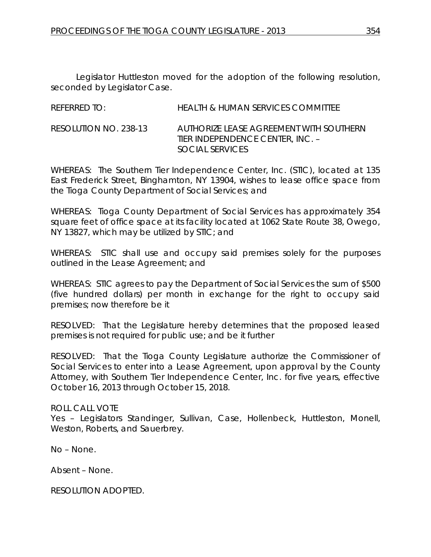Legislator Huttleston moved for the adoption of the following resolution, seconded by Legislator Case.

REFERRED TO: HEALTH & HUMAN SERVICES COMMITTEE

RESOLUTION NO. 238-13 *AUTHORIZE LEASE AGREEMENT WITH SOUTHERN TIER INDEPENDENCE CENTER, INC. – SOCIAL SERVICES*

WHEREAS: The Southern Tier Independence Center, Inc. (STIC), located at 135 East Frederick Street, Binghamton, NY 13904, wishes to lease office space from the Tioga County Department of Social Services; and

WHEREAS: Tioga County Department of Social Services has approximately 354 square feet of office space at its facility located at 1062 State Route 38, Owego, NY 13827, which may be utilized by STIC; and

WHEREAS: STIC shall use and occupy said premises solely for the purposes outlined in the Lease Agreement; and

WHEREAS: STIC agrees to pay the Department of Social Services the sum of \$500 (five hundred dollars) per month in exchange for the right to occupy said premises; now therefore be it

RESOLVED: That the Legislature hereby determines that the proposed leased premises is not required for public use; and be it further

RESOLVED: That the Tioga County Legislature authorize the Commissioner of Social Services to enter into a Lease Agreement, upon approval by the County Attorney, with Southern Tier Independence Center, Inc. for five years, effective October 16, 2013 through October 15, 2018.

# ROLL CALL VOTE

Yes – Legislators Standinger, Sullivan, Case, Hollenbeck, Huttleston, Monell, Weston, Roberts, and Sauerbrey.

No – None.

Absent – None.

RESOLUTION ADOPTED.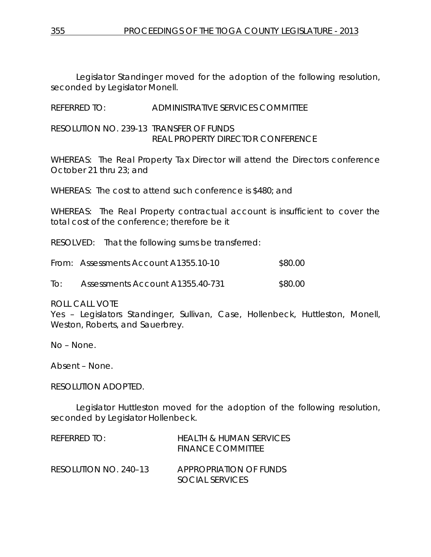Legislator Standinger moved for the adoption of the following resolution, seconded by Legislator Monell.

REFERRED TO: ADMINISTRATIVE SERVICES COMMITTEE

RESOLUTION NO. 239-13 *TRANSFER OF FUNDS REAL PROPERTY DIRECTOR CONFERENCE*

WHEREAS: The Real Property Tax Director will attend the Directors conference October 21 thru 23; and

WHEREAS: The cost to attend such conference is \$480; and

WHEREAS: The Real Property contractual account is insufficient to cover the total cost of the conference; therefore be it

RESOLVED: That the following sums be transferred:

|     | From: Assessments Account A1355.10-10 | \$80.00 |
|-----|---------------------------------------|---------|
| T∩∙ | Assessments Account A1355.40-731      | \$80.00 |

ROLL CALL VOTE

Yes - Legislators Standinger, Sullivan, Case, Hollenbeck, Huttleston, Monell, Weston, Roberts, and Sauerbrey.

No – None.

Absent – None.

#### RESOLUTION ADOPTED.

Legislator Huttleston moved for the adoption of the following resolution, seconded by Legislator Hollenbeck.

| REFERRED TO:          | HEALTH & HUMAN SERVICES<br>FINANCE COMMITTEE |
|-----------------------|----------------------------------------------|
| RESOLUTION NO. 240-13 | APPROPRIATION OF FUNDS<br>SOCIAL SERVICES    |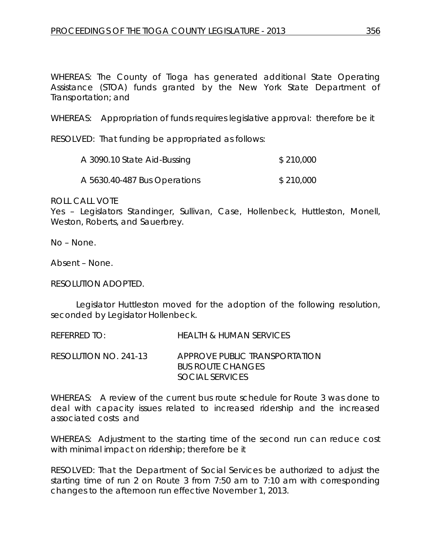WHEREAS: The County of Tioga has generated additional State Operating Assistance (STOA) funds granted by the New York State Department of Transportation; and

WHEREAS: Appropriation of funds requires legislative approval: therefore be it

RESOLVED: That funding be appropriated as follows:

| A 3090.10 State Aid-Bussing  | \$210,000 |
|------------------------------|-----------|
| A 5630.40-487 Bus Operations | \$210,000 |

ROLL CALL VOTE

Yes – Legislators Standinger, Sullivan, Case, Hollenbeck, Huttleston, Monell, Weston, Roberts, and Sauerbrey.

No – None.

Absent – None.

RESOLUTION ADOPTED.

Legislator Huttleston moved for the adoption of the following resolution, seconded by Legislator Hollenbeck.

REFERRED TO: HEALTH & HUMAN SERVICES

RESOLUTION NO. 241-13 *APPROVE PUBLIC TRANSPORTATION BUS ROUTE CHANGES SOCIAL SERVICES*

WHEREAS: A review of the current bus route schedule for Route 3 was done to deal with capacity issues related to increased ridership and the increased associated costs and

WHEREAS: Adjustment to the starting time of the second run can reduce cost with minimal impact on ridership; therefore be it

RESOLVED: That the Department of Social Services be authorized to adjust the starting time of run 2 on Route 3 from 7:50 am to 7:10 am with corresponding changes to the afternoon run effective November 1, 2013.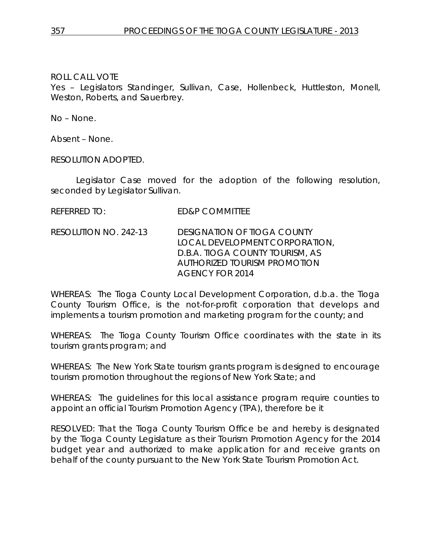Yes – Legislators Standinger, Sullivan, Case, Hollenbeck, Huttleston, Monell, Weston, Roberts, and Sauerbrey.

No – None.

Absent – None.

RESOLUTION ADOPTED.

Legislator Case moved for the adoption of the following resolution, seconded by Legislator Sullivan.

REFERRED TO: ED&P COMMITTEE

RESOLUTION NO. 242-13 *DESIGNATION OF TIOGA COUNTY LOCAL DEVELOPMENT CORPORATION, D.B.A. TIOGA COUNTY TOURISM, AS AUTHORIZED TOURISM PROMOTION AGENCY FOR 2014*

WHEREAS: The Tioga County Local Development Corporation, d.b.a. the Tioga County Tourism Office, is the not-for-profit corporation that develops and implements a tourism promotion and marketing program for the county; and

WHEREAS: The Tioga County Tourism Office coordinates with the state in its tourism grants program; and

WHEREAS: The New York State tourism grants program is designed to encourage tourism promotion throughout the regions of New York State; and

WHEREAS: The guidelines for this local assistance program require counties to appoint an official Tourism Promotion Agency (TPA), therefore be it

RESOLVED: That the Tioga County Tourism Office be and hereby is designated by the Tioga County Legislature as their Tourism Promotion Agency for the 2014 budget year and authorized to make application for and receive grants on behalf of the county pursuant to the New York State Tourism Promotion Act.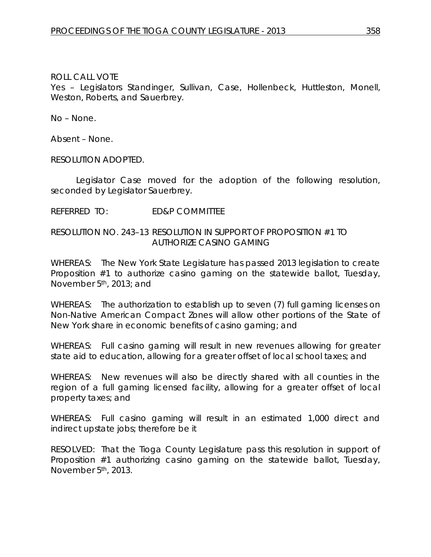Yes – Legislators Standinger, Sullivan, Case, Hollenbeck, Huttleston, Monell, Weston, Roberts, and Sauerbrey.

No – None.

Absent – None.

RESOLUTION ADOPTED.

Legislator Case moved for the adoption of the following resolution, seconded by Legislator Sauerbrey.

### REFERRED TO: ED&P COMMITTEE

### RESOLUTION NO. 243–13 *RESOLUTION IN SUPPORT OF PROPOSITION #1 TO AUTHORIZE CASINO GAMING*

WHEREAS: The New York State Legislature has passed 2013 legislation to create Proposition #1 to authorize casino gaming on the statewide ballot, Tuesday, November 5th, 2013; and

WHEREAS: The authorization to establish up to seven (7) full gaming licenses on Non-Native American Compact Zones will allow other portions of the State of New York share in economic benefits of casino gaming; and

WHEREAS: Full casino gaming will result in new revenues allowing for greater state aid to education, allowing for a greater offset of local school taxes; and

WHEREAS: New revenues will also be directly shared with all counties in the region of a full gaming licensed facility, allowing for a greater offset of local property taxes; and

WHEREAS: Full casino gaming will result in an estimated 1,000 direct and indirect upstate jobs; therefore be it

RESOLVED: That the Tioga County Legislature pass this resolution in support of Proposition #1 authorizing casino gaming on the statewide ballot, Tuesday, November 5th, 2013.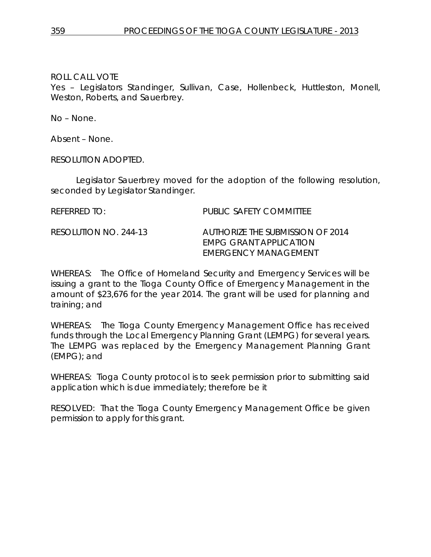Yes – Legislators Standinger, Sullivan, Case, Hollenbeck, Huttleston, Monell, Weston, Roberts, and Sauerbrey.

No – None.

Absent – None.

RESOLUTION ADOPTED.

Legislator Sauerbrey moved for the adoption of the following resolution, seconded by Legislator Standinger.

| REFERRED TO:          | PUBLIC SAFETY COMMITTEE                                                            |
|-----------------------|------------------------------------------------------------------------------------|
| RESOLUTION NO. 244-13 | AUTHORIZE THE SUBMISSION OF 2014<br>EMPG GRANT APPLICATION<br>EMERGENCY MANAGEMENT |

WHEREAS: The Office of Homeland Security and Emergency Services will be issuing a grant to the Tioga County Office of Emergency Management in the amount of \$23,676 for the year 2014. The grant will be used for planning and training; and

WHEREAS: The Tioga County Emergency Management Office has received funds through the Local Emergency Planning Grant (LEMPG) for several years. The LEMPG was replaced by the Emergency Management Planning Grant (EMPG); and

WHEREAS: Tioga County protocol is to seek permission prior to submitting said application which is due immediately; therefore be it

RESOLVED: That the Tioga County Emergency Management Office be given permission to apply for this grant.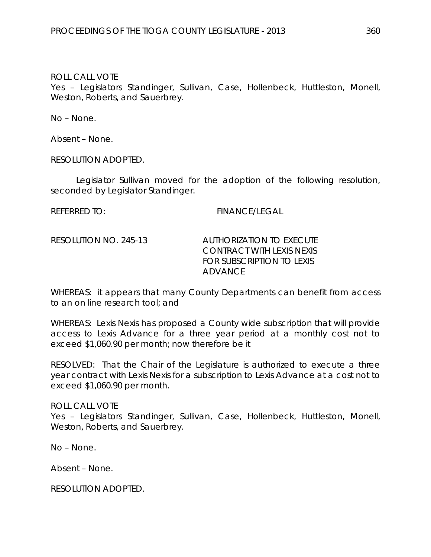Yes – Legislators Standinger, Sullivan, Case, Hollenbeck, Huttleston, Monell, Weston, Roberts, and Sauerbrey.

No – None.

Absent – None.

RESOLUTION ADOPTED.

Legislator Sullivan moved for the adoption of the following resolution, seconded by Legislator Standinger.

REFERRED TO: FINANCE/LEGAL

RESOLUTION NO. 245-13 *AUTHORIZATION TO EXECUTE CONTRACT WITH LEXIS NEXIS FOR SUBSCRIPTION TO LEXIS ADVANCE* 

WHEREAS: it appears that many County Departments can benefit from access to an on line research tool; and

WHEREAS: Lexis Nexis has proposed a County wide subscription that will provide access to Lexis Advance for a three year period at a monthly cost not to exceed \$1,060.90 per month; now therefore be it

RESOLVED: That the Chair of the Legislature is authorized to execute a three year contract with Lexis Nexis for a subscription to Lexis Advance at a cost not to exceed \$1,060.90 per month.

ROLL CALL VOTE Yes - Legislators Standinger, Sullivan, Case, Hollenbeck, Huttleston, Monell, Weston, Roberts, and Sauerbrey.

No – None.

Absent – None.

RESOLUTION ADOPTED.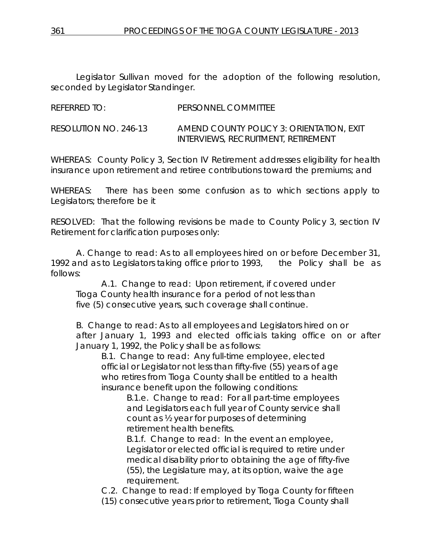Legislator Sullivan moved for the adoption of the following resolution, seconded by Legislator Standinger.

REFERRED TO: PERSONNEL COMMITTEE

RESOLUTION NO. 246-13 *AMEND COUNTY POLICY 3: ORIENTATION, EXIT INTERVIEWS, RECRUITMENT, RETIREMENT*

WHEREAS: County Policy 3, Section IV Retirement addresses eligibility for health insurance upon retirement and retiree contributions toward the premiums; and

WHEREAS: There has been some confusion as to which sections apply to Legislators; therefore be it

RESOLVED: That the following revisions be made to County Policy 3, section IV Retirement for clarification purposes only:

A. Change to read: As to all employees hired on or before December 31, 1992 and as to Legislators taking office prior to 1993, the Policy shall be as follows:

A.1. Change to read: Upon retirement, if covered under Tioga County health insurance for a period of not less than five (5) consecutive years, such coverage shall continue.

B. Change to read: As to all employees and Legislators hired on or after January 1, 1993 and elected officials taking office on or after January 1, 1992, the Policy shall be as follows:

B.1. Change to read: Any full-time employee, elected official or Legislator not less than fifty-five (55) years of age who retires from Tioga County shall be entitled to a health insurance benefit upon the following conditions:

B.1.e. Change to read: For all part-time employees and Legislators each full year of County service shall count as ½ year for purposes of determining retirement health benefits.

B.1.f. Change to read: In the event an employee, Legislator or elected official is required to retire under medical disability prior to obtaining the age of fifty-five (55), the Legislature may, at its option, waive the age requirement.

C.2. Change to read: If employed by Tioga County for fifteen

(15) consecutive years prior to retirement, Tioga County shall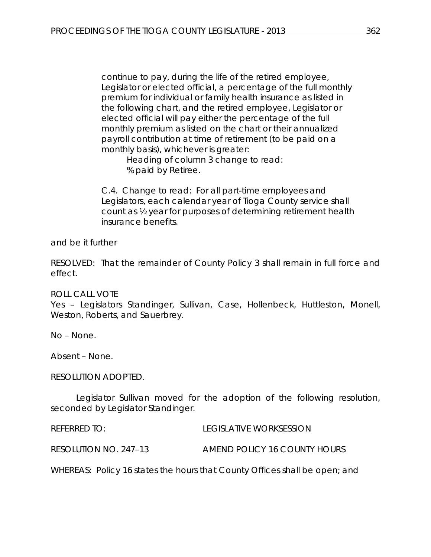continue to pay, during the life of the retired employee, Legislator or elected official, a percentage of the full monthly premium for individual or family health insurance as listed in the following chart, and the retired employee, Legislator or elected official will pay either the percentage of the full monthly premium as listed on the chart or their annualized payroll contribution at time of retirement (to be paid on a monthly basis), whichever is greater:

> Heading of column 3 change to read: % paid by Retiree.

C.4. Change to read: For all part-time employees and Legislators, each calendar year of Tioga County service shall count as ½ year for purposes of determining retirement health insurance benefits.

and be it further

RESOLVED: That the remainder of County Policy 3 shall remain in full force and effect.

#### ROLL CALL VOTE

Yes – Legislators Standinger, Sullivan, Case, Hollenbeck, Huttleston, Monell, Weston, Roberts, and Sauerbrey.

No – None.

Absent – None.

RESOLUTION ADOPTED.

Legislator Sullivan moved for the adoption of the following resolution, seconded by Legislator Standinger.

REFERRED TO: LEGISLATIVE WORKSESSION RESOLUTION NO. 247–13 *AMEND POLICY 16 COUNTY HOURS*

WHEREAS: Policy 16 states the hours that County Offices shall be open; and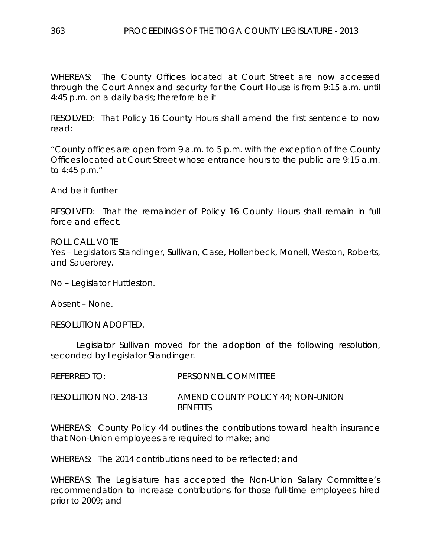WHEREAS: The County Offices located at Court Street are now accessed through the Court Annex and security for the Court House is from 9:15 a.m. until 4:45 p.m. on a daily basis; therefore be it

RESOLVED: That Policy 16 County Hours shall amend the first sentence to now read:

"County offices are open from 9 a.m. to 5 p.m. with the exception of the County Offices located at Court Street whose entrance hours to the public are 9:15 a.m. to 4:45 p.m."

And be it further

RESOLVED: That the remainder of Policy 16 County Hours shall remain in full force and effect.

ROLL CALL VOTE Yes – Legislators Standinger, Sullivan, Case, Hollenbeck, Monell, Weston, Roberts, and Sauerbrey.

No – Legislator Huttleston.

Absent – None.

RESOLUTION ADOPTED.

Legislator Sullivan moved for the adoption of the following resolution, seconded by Legislator Standinger.

| REFERRED TO:          | PERSONNEL COMMITTEE                                  |
|-----------------------|------------------------------------------------------|
| RESOLUTION NO. 248-13 | AMEND COUNTY POLICY 44: NON-UNION<br><b>BENFFITS</b> |

WHEREAS: County Policy 44 outlines the contributions toward health insurance that Non-Union employees are required to make; and

WHEREAS: The 2014 contributions need to be reflected; and

WHEREAS: The Legislature has accepted the Non-Union Salary Committee's recommendation to increase contributions for those full-time employees hired prior to 2009; and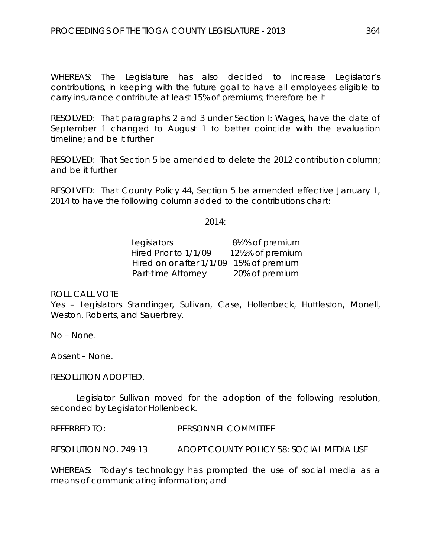WHEREAS: The Legislature has also decided to increase Legislator's contributions, in keeping with the future goal to have all employees eligible to carry insurance contribute at least 15% of premiums; therefore be it

RESOLVED: That paragraphs 2 and 3 under Section I: Wages, have the date of September 1 changed to August 1 to better coincide with the evaluation timeline; and be it further

RESOLVED: That Section 5 be amended to delete the 2012 contribution column; and be it further

RESOLVED: That County Policy 44, Section 5 be amended effective January 1, 2014 to have the following column added to the contributions chart:

2014:

Legislators 8½% of premium Hired Prior to 1/1/09 12½% of premium Hired on or after 1/1/09 15% of premium Part-time Attorney 20% of premium

ROLL CALL VOTE

Yes – Legislators Standinger, Sullivan, Case, Hollenbeck, Huttleston, Monell, Weston, Roberts, and Sauerbrey.

No – None.

Absent – None.

RESOLUTION ADOPTED.

Legislator Sullivan moved for the adoption of the following resolution, seconded by Legislator Hollenbeck.

REFERRED TO: PERSONNEL COMMITTEE

RESOLUTION NO. 249-13 *ADOPT COUNTY POLICY 58: SOCIAL MEDIA USE*

WHEREAS: Today's technology has prompted the use of social media as a means of communicating information; and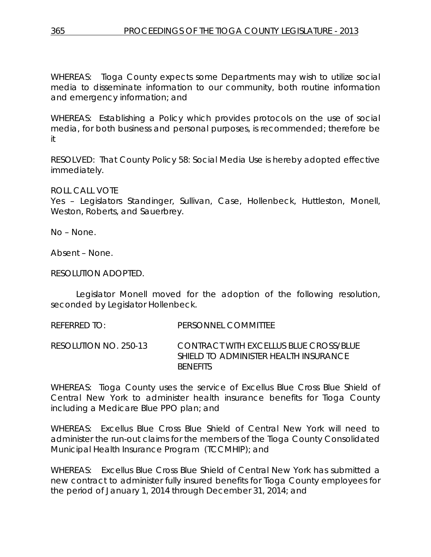WHEREAS: Tioga County expects some Departments may wish to utilize social media to disseminate information to our community, both routine information and emergency information; and

WHEREAS: Establishing a Policy which provides protocols on the use of social media, for both business and personal purposes, is recommended; therefore be it

RESOLVED: That County Policy 58: Social Media Use is hereby adopted effective immediately.

ROLL CALL VOTE

Yes – Legislators Standinger, Sullivan, Case, Hollenbeck, Huttleston, Monell, Weston, Roberts, and Sauerbrey.

No – None.

Absent – None.

RESOLUTION ADOPTED.

Legislator Monell moved for the adoption of the following resolution, seconded by Legislator Hollenbeck.

REFERRED TO: PERSONNEL COMMITTEE

RESOLUTION NO. 250-13 *CONTRACT WITH EXCELLUS BLUE CROSS/BLUE SHIELD TO ADMINISTER HEALTH INSURANCE BENEFITS*

WHEREAS: Tioga County uses the service of Excellus Blue Cross Blue Shield of Central New York to administer health insurance benefits for Tioga County including a Medicare Blue PPO plan; and

WHEREAS: Excellus Blue Cross Blue Shield of Central New York will need to administer the run-out claims for the members of the Tioga County Consolidated Municipal Health Insurance Program (TCCMHIP); and

WHEREAS: Excellus Blue Cross Blue Shield of Central New York has submitted a new contract to administer fully insured benefits for Tioga County employees for the period of January 1, 2014 through December 31, 2014; and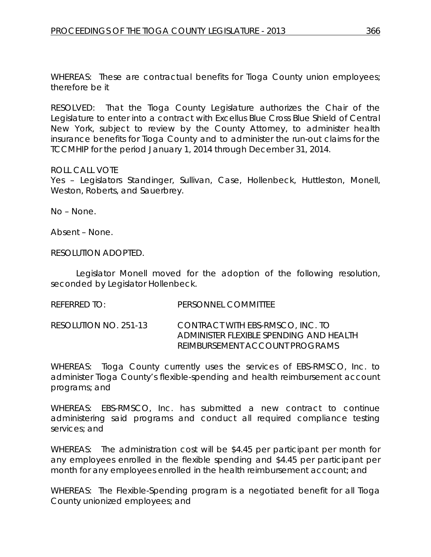WHEREAS: These are contractual benefits for Tioga County union employees; therefore be it

RESOLVED: That the Tioga County Legislature authorizes the Chair of the Legislature to enter into a contract with Excellus Blue Cross Blue Shield of Central New York, subject to review by the County Attorney, to administer health insurance benefits for Tioga County and to administer the run-out claims for the TCCMHIP for the period January 1, 2014 through December 31, 2014.

#### ROLL CALL VOTE

Yes – Legislators Standinger, Sullivan, Case, Hollenbeck, Huttleston, Monell, Weston, Roberts, and Sauerbrey.

No – None.

Absent – None.

RESOLUTION ADOPTED.

Legislator Monell moved for the adoption of the following resolution, seconded by Legislator Hollenbeck.

REFERRED TO: PERSONNEL COMMITTEE

RESOLUTION NO. 251-13 *CONTRACT WITH EBS-RMSCO, INC. TO ADMINISTER FLEXIBLE SPENDING AND HEALTH REIMBURSEMENT ACCOUNT PROGRAMS*

WHEREAS: Tioga County currently uses the services of EBS-RMSCO, Inc. to administer Tioga County's flexible-spending and health reimbursement account programs; and

WHEREAS: EBS-RMSCO, Inc. has submitted a new contract to continue administering said programs and conduct all required compliance testing services; and

WHEREAS: The administration cost will be \$4.45 per participant per month for any employees enrolled in the flexible spending and \$4.45 per participant per month for any employees enrolled in the health reimbursement account; and

WHEREAS: The Flexible-Spending program is a negotiated benefit for all Tioga County unionized employees; and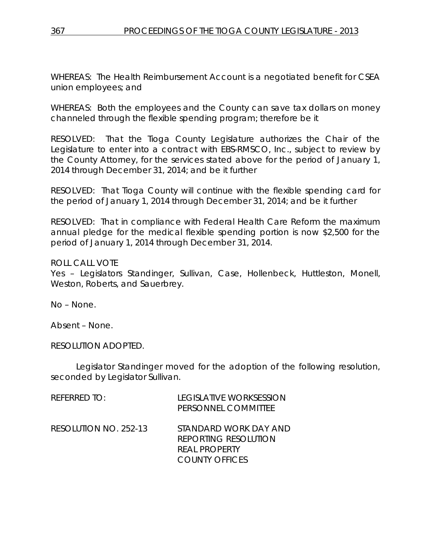WHEREAS: The Health Reimbursement Account is a negotiated benefit for CSEA union employees; and

WHEREAS: Both the employees and the County can save tax dollars on money channeled through the flexible spending program; therefore be it

RESOLVED: That the Tioga County Legislature authorizes the Chair of the Legislature to enter into a contract with EBS-RMSCO, Inc., subject to review by the County Attorney, for the services stated above for the period of January 1, 2014 through December 31, 2014; and be it further

RESOLVED: That Tioga County will continue with the flexible spending card for the period of January 1, 2014 through December 31, 2014; and be it further

RESOLVED: That in compliance with Federal Health Care Reform the maximum annual pledge for the medical flexible spending portion is now \$2,500 for the period of January 1, 2014 through December 31, 2014.

### ROLL CALL VOTE

Yes – Legislators Standinger, Sullivan, Case, Hollenbeck, Huttleston, Monell, Weston, Roberts, and Sauerbrey.

No – None.

Absent – None.

RESOLUTION ADOPTED.

Legislator Standinger moved for the adoption of the following resolution, seconded by Legislator Sullivan.

| $R$ FFFRRFD TO:       | LEGISLATIVE WORKSESSION<br>PERSONNEL COMMITTEE                                                 |
|-----------------------|------------------------------------------------------------------------------------------------|
| RESOLUTION NO. 252-13 | STANDARD WORK DAY AND<br><b>REPORTING RESOLUTION</b><br>REAL PROPERTY<br><b>COUNTY OFFICES</b> |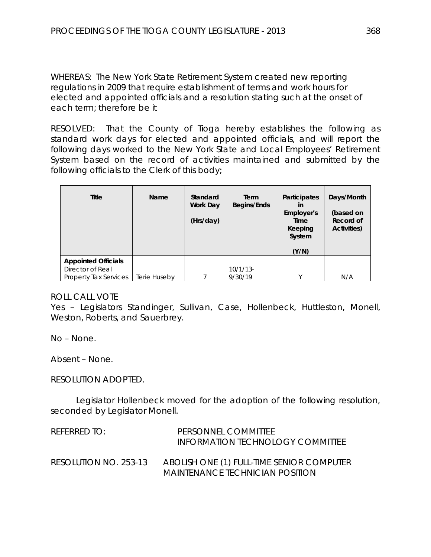WHEREAS: The New York State Retirement System created new reporting regulations in 2009 that require establishment of terms and work hours for elected and appointed officials and a resolution stating such at the onset of each term; therefore be it

RESOLVED: That the County of Tioga hereby establishes the following as standard work days for elected and appointed officials, and will report the following days worked to the New York State and Local Employees' Retirement System based on the record of activities maintained and submitted by the following officials to the Clerk of this body;

| Title                        | Name         | Standard<br>Work Day<br>(Hrs/day) | Term<br>Begins/Ends | <b>Participates</b><br>in<br>Employer's<br>Time<br>Keeping<br>System<br>(Y/N) | Days/Month<br>(based on<br>Record of<br>Activities) |
|------------------------------|--------------|-----------------------------------|---------------------|-------------------------------------------------------------------------------|-----------------------------------------------------|
| <b>Appointed Officials</b>   |              |                                   |                     |                                                                               |                                                     |
| Director of Real             |              |                                   | $10/1/13$ -         |                                                                               |                                                     |
| <b>Property Tax Services</b> | Terie Huseby |                                   | 9/30/19             | $\checkmark$                                                                  | N/A                                                 |

#### ROLL CALL VOTE

Yes - Legislators Standinger, Sullivan, Case, Hollenbeck, Huttleston, Monell, Weston, Roberts, and Sauerbrey.

No – None.

Absent – None.

#### RESOLUTION ADOPTED.

Legislator Hollenbeck moved for the adoption of the following resolution, seconded by Legislator Monell.

| REFERRED TO:          | PERSONNEL COMMITTEE<br>INFORMATION TECHNOLOGY COMMITTEE                      |
|-----------------------|------------------------------------------------------------------------------|
| RESOLUTION NO. 253-13 | ABOLISH ONE (1) FULL-TIME SENIOR COMPUTER<br>MAINTENANCE TECHNICIAN POSITION |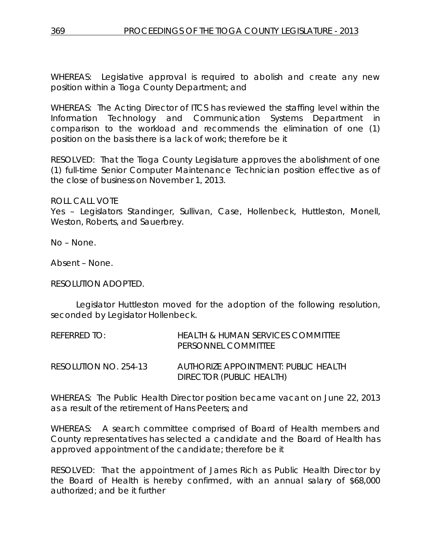WHEREAS: Legislative approval is required to abolish and create any new position within a Tioga County Department; and

WHEREAS: The Acting Director of ITCS has reviewed the staffing level within the Information Technology and Communication Systems Department in comparison to the workload and recommends the elimination of one (1) position on the basis there is a lack of work; therefore be it

RESOLVED: That the Tioga County Legislature approves the abolishment of one (1) full-time Senior Computer Maintenance Technician position effective as of the close of business on November 1, 2013.

ROLL CALL VOTE

Yes – Legislators Standinger, Sullivan, Case, Hollenbeck, Huttleston, Monell, Weston, Roberts, and Sauerbrey.

No – None.

Absent – None.

#### RESOLUTION ADOPTED.

Legislator Huttleston moved for the adoption of the following resolution, seconded by Legislator Hollenbeck.

| REFERRED TO:          | HEALTH & HUMAN SERVICES COMMITTEE<br>PERSONNEL COMMITTEE         |
|-----------------------|------------------------------------------------------------------|
| RESOLUTION NO. 254-13 | AUTHORIZE APPOINTMENT: PUBLIC HEALTH<br>DIRECTOR (PUBLIC HEALTH) |

WHEREAS: The Public Health Director position became vacant on June 22, 2013 as a result of the retirement of Hans Peeters; and

WHEREAS: A search committee comprised of Board of Health members and County representatives has selected a candidate and the Board of Health has approved appointment of the candidate; therefore be it

RESOLVED: That the appointment of James Rich as Public Health Director by the Board of Health is hereby confirmed, with an annual salary of \$68,000 authorized; and be it further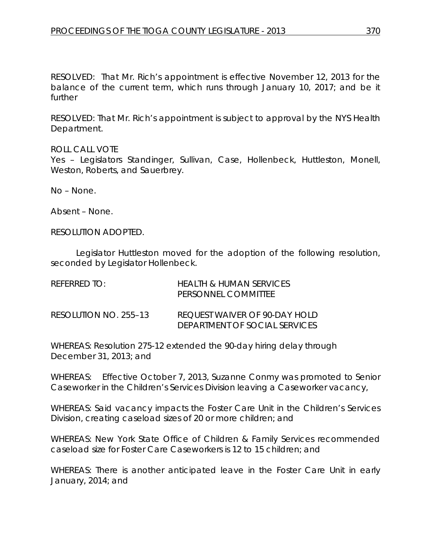RESOLVED: That Mr. Rich's appointment is effective November 12, 2013 for the balance of the current term, which runs through January 10, 2017; and be it further

RESOLVED: That Mr. Rich's appointment is subject to approval by the NYS Health Department.

ROLL CALL VOTE

Yes - Legislators Standinger, Sullivan, Case, Hollenbeck, Huttleston, Monell, Weston, Roberts, and Sauerbrey.

No – None.

Absent – None.

RESOLUTION ADOPTED.

Legislator Huttleston moved for the adoption of the following resolution, seconded by Legislator Hollenbeck.

| REFERRED TO:          | HEALTH & HUMAN SERVICES<br>PERSONNEL COMMITTEE                 |
|-----------------------|----------------------------------------------------------------|
| RESOLUTION NO. 255–13 | REQUEST WAIVER OF 90-DAY HOLD<br>DEPARTMENT OF SOCIAL SERVICES |

WHEREAS: Resolution 275-12 extended the 90-day hiring delay through December 31, 2013; and

WHEREAS: Effective October 7, 2013, Suzanne Conmy was promoted to Senior Caseworker in the Children's Services Division leaving a Caseworker vacancy,

WHEREAS: Said vacancy impacts the Foster Care Unit in the Children's Services Division, creating caseload sizes of 20 or more children; and

WHEREAS: New York State Office of Children & Family Services recommended caseload size for Foster Care Caseworkers is 12 to 15 children; and

WHEREAS: There is another anticipated leave in the Foster Care Unit in early January, 2014; and